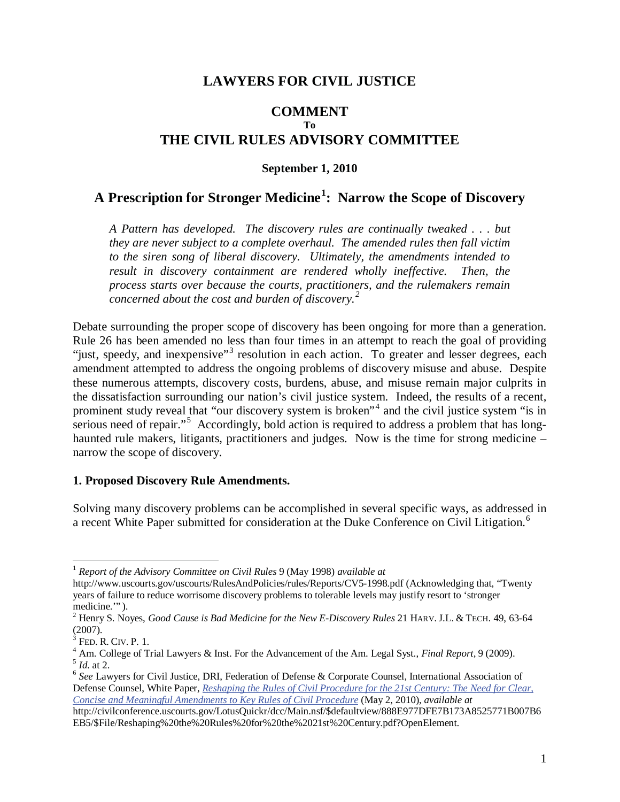# **LAWYERS FOR CIVIL JUSTICE**

# **COMMENT To THE CIVIL RULES ADVISORY COMMITTEE**

#### **September 1, 2010**

# **A Prescription for Stronger Medicine<sup>1</sup> : Narrow the Scope of Discovery**

*A Pattern has developed. The discovery rules are continually tweaked . . . but they are never subject to a complete overhaul. The amended rules then fall victim to the siren song of liberal discovery. Ultimately, the amendments intended to*  result in discovery containment are rendered wholly ineffective. Then, the *process starts over because the courts, practitioners, and the rulemakers remain concerned about the cost and burden of discovery.<sup>2</sup>*

Debate surrounding the proper scope of discovery has been ongoing for more than a generation. Rule 26 has been amended no less than four times in an attempt to reach the goal of providing "just, speedy, and inexpensive"<sup>3</sup> resolution in each action. To greater and lesser degrees, each amendment attempted to address the ongoing problems of discovery misuse and abuse. Despite these numerous attempts, discovery costs, burdens, abuse, and misuse remain major culprits in the dissatisfaction surrounding our nation's civil justice system. Indeed, the results of a recent, prominent study reveal that "our discovery system is broken"<sup>4</sup> and the civil justice system "is in serious need of repair."<sup>5</sup> Accordingly, bold action is required to address a problem that has longhaunted rule makers, litigants, practitioners and judges. Now is the time for strong medicine – narrow the scope of discovery.

#### **1. Proposed Discovery Rule Amendments.**

Solving many discovery problems can be accomplished in several specific ways, as addressed in a recent White Paper submitted for consideration at the Duke Conference on Civil Litigation.<sup>6</sup>

<sup>1</sup> *Report of the Advisory Committee on Civil Rules* 9 (May 1998) *available at* 

http://www.uscourts.gov/uscourts/RulesAndPolicies/rules/Reports/CV5-1998.pdf (Acknowledging that, "Twenty years of failure to reduce worrisome discovery problems to tolerable levels may justify resort to 'stronger medicine."".

Henry S. Noyes, *Good Cause is Bad Medicine for the New E-Discovery Rules* 21 HARV. J.L. & TECH. 49, 63-64 (2007).

<sup>3</sup>  $^{3}$  Fed. R. Civ. P. 1.<br> $^{4}$  Am College of T

<sup>&</sup>lt;sup>4</sup> Am. College of Trial Lawyers & Inst. For the Advancement of the Am. Legal Syst., *Final Report*, 9 (2009).<br><sup>5</sup> *Id.* at 2.<br><sup>6</sup> *See* Lawyers for Civil Justice, DRI, Federation of Defense & Corporate Counsel, Internatio

Defense Counsel, White Paper, *Reshaping the Rules of Civil Procedure for the 21st Century: The Need for Clear, Concise and Meaningful Amendments to Key Rules of Civil Procedure* (May 2, 2010), *available at*

http://civilconference.uscourts.gov/LotusQuickr/dcc/Main.nsf/\$defaultview/888E977DFE7B173A8525771B007B6 EB5/\$File/Reshaping%20the%20Rules%20for%20the%2021st%20Century.pdf?OpenElement.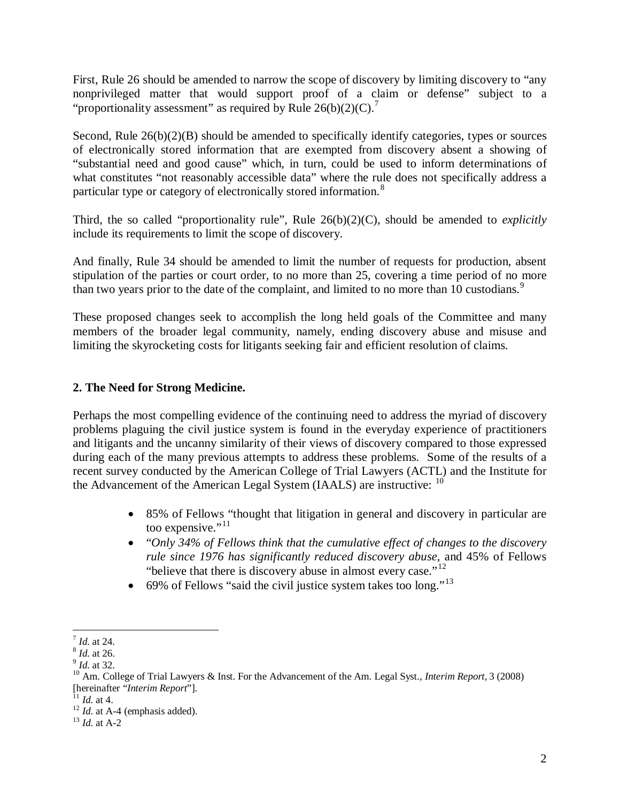First, Rule 26 should be amended to narrow the scope of discovery by limiting discovery to "any nonprivileged matter that would support proof of a claim or defense" subject to a "proportionality assessment" as required by Rule  $26(b)(2)(C)$ .<sup>7</sup>

Second, Rule  $26(b)(2)(B)$  should be amended to specifically identify categories, types or sources of electronically stored information that are exempted from discovery absent a showing of "substantial need and good cause" which, in turn, could be used to inform determinations of what constitutes "not reasonably accessible data" where the rule does not specifically address a particular type or category of electronically stored information.<sup>8</sup>

Third, the so called "proportionality rule", Rule 26(b)(2)(C), should be amended to *explicitly*  include its requirements to limit the scope of discovery.

And finally, Rule 34 should be amended to limit the number of requests for production, absent stipulation of the parties or court order, to no more than 25, covering a time period of no more than two years prior to the date of the complaint, and limited to no more than 10 custodians.<sup>9</sup>

These proposed changes seek to accomplish the long held goals of the Committee and many members of the broader legal community, namely, ending discovery abuse and misuse and limiting the skyrocketing costs for litigants seeking fair and efficient resolution of claims.

## **2. The Need for Strong Medicine.**

Perhaps the most compelling evidence of the continuing need to address the myriad of discovery problems plaguing the civil justice system is found in the everyday experience of practitioners and litigants and the uncanny similarity of their views of discovery compared to those expressed during each of the many previous attempts to address these problems. Some of the results of a recent survey conducted by the American College of Trial Lawyers (ACTL) and the Institute for the Advancement of the American Legal System  $(IAALS)$  are instructive:  $<sup>10</sup>$ </sup>

- 85% of Fellows "thought that litigation in general and discovery in particular are too expensive."<sup>11</sup>
- "*Only 34% of Fellows think that the cumulative effect of changes to the discovery rule since 1976 has significantly reduced discovery abuse,* and 45% of Fellows "believe that there is discovery abuse in almost every case."<sup>12</sup>
- 69% of Fellows "said the civil justice system takes too long."<sup>13</sup>

 $\overline{a}$ 

<sup>&</sup>lt;sup>7</sup> *Id.* at 24.<br><sup>8</sup> *Id.* at 26.<br><sup>9</sup> *Id.* at 32.<br><sup>10</sup> Am. College of Trial Lawyers & Inst. For the Advancement of the Am. Legal Syst., *Interim Report*, 3 (2008)

<sup>[</sup>hereinafter "*Interim Report*"]. <sup>11</sup> *Id.* at 4. 12 *Id.* at A-4 (emphasis added). 13 *Id.* at A-2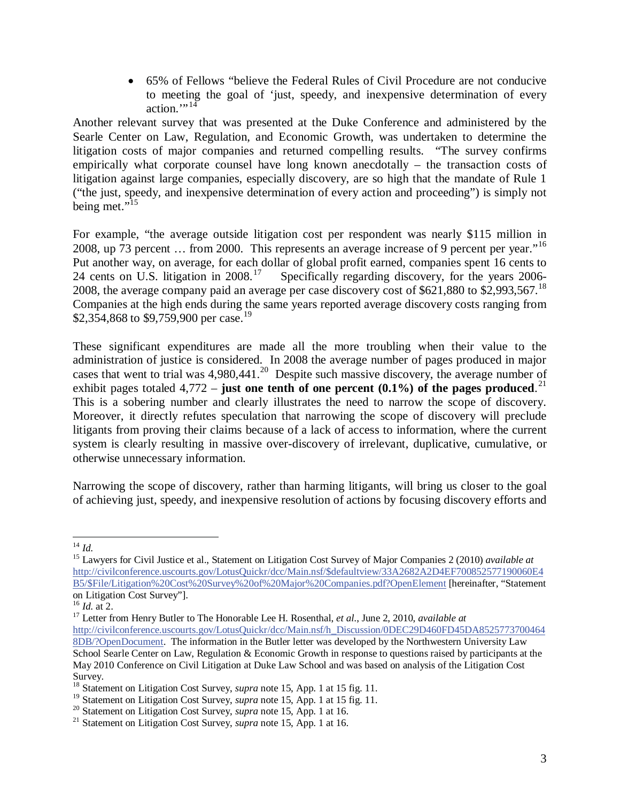65% of Fellows "believe the Federal Rules of Civil Procedure are not conducive to meeting the goal of 'just, speedy, and inexpensive determination of every action." $14$ 

Another relevant survey that was presented at the Duke Conference and administered by the Searle Center on Law, Regulation, and Economic Growth, was undertaken to determine the litigation costs of major companies and returned compelling results. "The survey confirms empirically what corporate counsel have long known anecdotally – the transaction costs of litigation against large companies, especially discovery, are so high that the mandate of Rule 1 ("the just, speedy, and inexpensive determination of every action and proceeding") is simply not being met."<sup>15</sup>

For example, "the average outside litigation cost per respondent was nearly \$115 million in 2008, up 73 percent ... from 2000. This represents an average increase of 9 percent per year."<sup>16</sup> Put another way, on average, for each dollar of global profit earned, companies spent 16 cents to 24 cents on U.S. litigation in 2008.<sup>17</sup> Specifically regarding discovery, for the years 2006-2008, the average company paid an average per case discovery cost of \$621,880 to \$2,993,567.18 Companies at the high ends during the same years reported average discovery costs ranging from \$2,354,868 to \$9,759,900 per case.<sup>19</sup>

These significant expenditures are made all the more troubling when their value to the administration of justice is considered. In 2008 the average number of pages produced in major cases that went to trial was 4,980,441.<sup>20</sup> Despite such massive discovery, the average number of exhibit pages totaled  $4,772$  – **just one tenth of one percent (0.1%) of the pages produced**.<sup>21</sup> This is a sobering number and clearly illustrates the need to narrow the scope of discovery. Moreover, it directly refutes speculation that narrowing the scope of discovery will preclude litigants from proving their claims because of a lack of access to information, where the current system is clearly resulting in massive over-discovery of irrelevant, duplicative, cumulative, or otherwise unnecessary information.

Narrowing the scope of discovery, rather than harming litigants, will bring us closer to the goal of achieving just, speedy, and inexpensive resolution of actions by focusing discovery efforts and

 $^{14}$  *Id.* 

<sup>&</sup>lt;sup>15</sup> Lawyers for Civil Justice et al., Statement on Litigation Cost Survey of Major Companies 2 (2010) *available at* http://civilconference.uscourts.gov/LotusQuickr/dcc/Main.nsf/\$defaultview/33A2682A2D4EF700852577190060E4 B5/\$File/Litigation%20Cost%20Survey%20of%20Major%20Companies.pdf?OpenElement [hereinafter, "Statement on Litigation Cost Survey"].<br><sup>16</sup> *Id.* at 2.

<sup>&</sup>lt;sup>17</sup> Letter from Henry Butler to The Honorable Lee H. Rosenthal, *et al.*, June 2, 2010, *available at* http://civilconference.uscourts.gov/LotusQuickr/dcc/Main.nsf/h\_Discussion/0DEC29D460FD45DA8525773700464 8DB/?OpenDocument. The information in the Butler letter was developed by the Northwestern University Law School Searle Center on Law, Regulation & Economic Growth in response to questions raised by participants at the May 2010 Conference on Civil Litigation at Duke Law School and was based on analysis of the Litigation Cost Survey.

<sup>&</sup>lt;sup>18</sup> Statement on Litigation Cost Survey, *supra* note 15, App. 1 at 15 fig. 11.<br><sup>19</sup> Statement on Litigation Cost Survey, *supra* note 15, App. 1 at 15 fig. 11.

<sup>&</sup>lt;sup>20</sup> Statement on Litigation Cost Survey, *supra* note 15, App. 1 at 16.<br><sup>21</sup> Statement on Litigation Cost Survey, *supra* note 15, App. 1 at 16.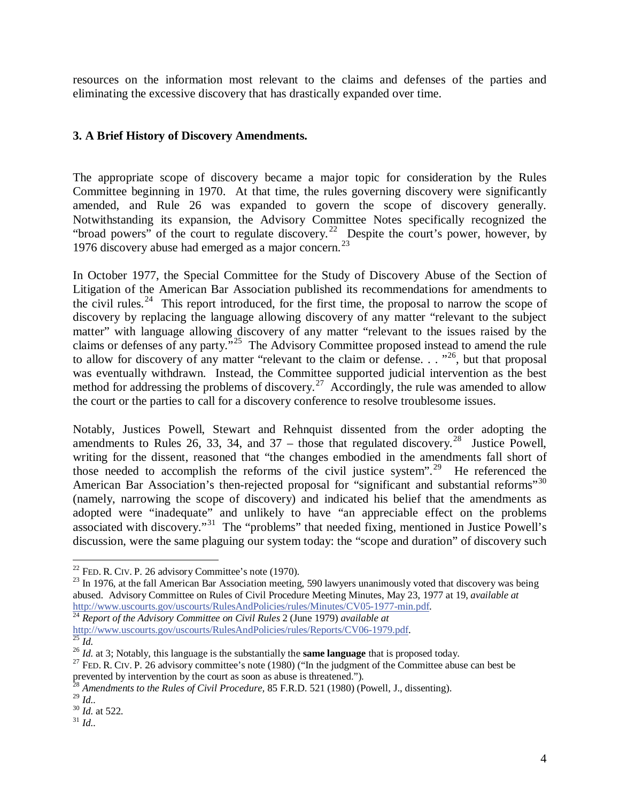resources on the information most relevant to the claims and defenses of the parties and eliminating the excessive discovery that has drastically expanded over time.

## **3. A Brief History of Discovery Amendments.**

The appropriate scope of discovery became a major topic for consideration by the Rules Committee beginning in 1970. At that time, the rules governing discovery were significantly amended, and Rule 26 was expanded to govern the scope of discovery generally. Notwithstanding its expansion, the Advisory Committee Notes specifically recognized the "broad powers" of the court to regulate discovery. 22 Despite the court's power, however, by 1976 discovery abuse had emerged as a major concern.<sup>23</sup>

In October 1977, the Special Committee for the Study of Discovery Abuse of the Section of Litigation of the American Bar Association published its recommendations for amendments to the civil rules.<sup>24</sup> This report introduced, for the first time, the proposal to narrow the scope of discovery by replacing the language allowing discovery of any matter "relevant to the subject matter" with language allowing discovery of any matter "relevant to the issues raised by the claims or defenses of any party."25 The Advisory Committee proposed instead to amend the rule to allow for discovery of any matter "relevant to the claim or defense. . .  $^{326}$ , but that proposal was eventually withdrawn. Instead, the Committee supported judicial intervention as the best method for addressing the problems of discovery.<sup>27</sup> Accordingly, the rule was amended to allow the court or the parties to call for a discovery conference to resolve troublesome issues.

Notably, Justices Powell, Stewart and Rehnquist dissented from the order adopting the amendments to Rules 26, 33, 34, and 37 – those that regulated discovery.<sup>28</sup> Justice Powell, writing for the dissent, reasoned that "the changes embodied in the amendments fall short of those needed to accomplish the reforms of the civil justice system".<sup>29</sup> He referenced the American Bar Association's then-rejected proposal for "significant and substantial reforms"<sup>30</sup> (namely, narrowing the scope of discovery) and indicated his belief that the amendments as adopted were "inadequate" and unlikely to have "an appreciable effect on the problems associated with discovery."<sup>31</sup> The "problems" that needed fixing, mentioned in Justice Powell's discussion, were the same plaguing our system today: the "scope and duration" of discovery such

 $22$  FED. R. CIV. P. 26 advisory Committee's note (1970).

 $^{23}$  In 1976, at the fall American Bar Association meeting, 590 lawyers unanimously voted that discovery was being abused. Advisory Committee on Rules of Civil Procedure Meeting Minutes, May 23, 1977 at 19, *available at* http://www.uscourts.gov/uscourts/RulesAndPolicies/rules/Minutes/CV05-1977-min.pdf. 24 *Report of the Advisory Committee on Civil Rules* <sup>2</sup> (June 1979) *available at*

http://www.uscourts.gov/uscourts/RulesAndPolicies/rules/Reports/CV06-1979.pdf.<br>
<sup>25</sup> *Id.*<br>
<sup>26</sup> *Id.* at 3; Notably, this language is the substantially the **same language** that is proposed today.<br>
<sup>27</sup> FED. R. CIV. P. 26

prevented by intervention by the court as soon as abuse is threatened.").

<sup>28</sup> *Amendments to the Rules of Civil Procedure,* 85 F.R.D. 521 (1980) (Powell, J., dissenting).

<sup>&</sup>lt;sup>29</sup> *Id.* 30 *Id.* at 522. <sup>31</sup> *Id.*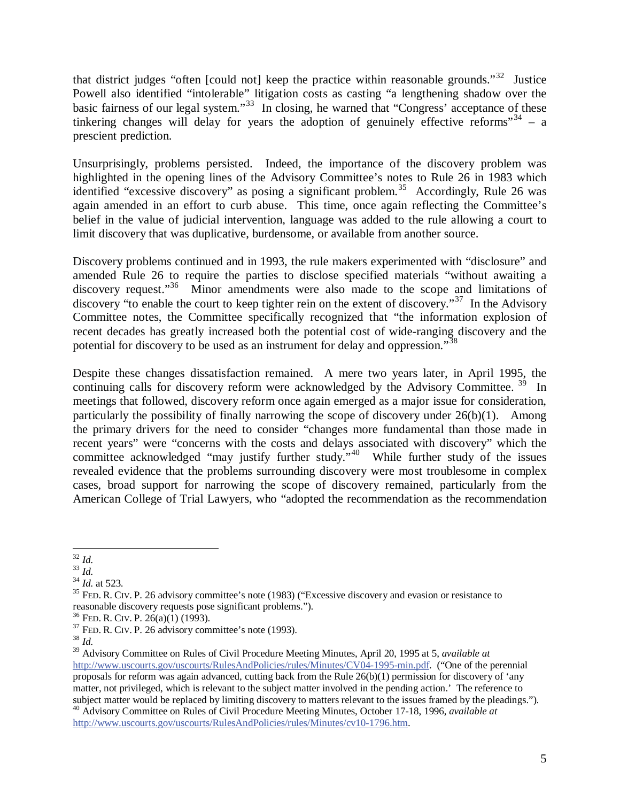that district judges "often [could not] keep the practice within reasonable grounds."<sup>32</sup> Justice Powell also identified "intolerable" litigation costs as casting "a lengthening shadow over the basic fairness of our legal system."33 In closing, he warned that "Congress' acceptance of these tinkering changes will delay for years the adoption of genuinely effective reforms<sup> $34$ </sup> – a prescient prediction.

Unsurprisingly, problems persisted. Indeed, the importance of the discovery problem was highlighted in the opening lines of the Advisory Committee's notes to Rule 26 in 1983 which identified "excessive discovery" as posing a significant problem.<sup>35</sup> Accordingly, Rule 26 was again amended in an effort to curb abuse. This time, once again reflecting the Committee's belief in the value of judicial intervention, language was added to the rule allowing a court to limit discovery that was duplicative, burdensome, or available from another source.

Discovery problems continued and in 1993, the rule makers experimented with "disclosure" and amended Rule 26 to require the parties to disclose specified materials "without awaiting a discovery request."<sup>36</sup> Minor amendments were also made to the scope and limitations of discovery "to enable the court to keep tighter rein on the extent of discovery."37 In the Advisory Committee notes, the Committee specifically recognized that "the information explosion of recent decades has greatly increased both the potential cost of wide-ranging discovery and the potential for discovery to be used as an instrument for delay and oppression."<sup>38</sup>

Despite these changes dissatisfaction remained. A mere two years later, in April 1995, the continuing calls for discovery reform were acknowledged by the Advisory Committee.<sup>39</sup> In meetings that followed, discovery reform once again emerged as a major issue for consideration, particularly the possibility of finally narrowing the scope of discovery under  $26(b)(1)$ . Among the primary drivers for the need to consider "changes more fundamental than those made in recent years" were "concerns with the costs and delays associated with discovery" which the committee acknowledged "may justify further study."<sup>40</sup> While further study of the issues revealed evidence that the problems surrounding discovery were most troublesome in complex cases, broad support for narrowing the scope of discovery remained, particularly from the American College of Trial Lawyers, who "adopted the recommendation as the recommendation

 $\overline{a}$ <sup>32</sup> *Id.*

<sup>&</sup>lt;sup>33</sup> *Id.*<br><sup>34</sup> *Id.* at 523.<br><sup>35</sup> FED. R. CIV. P. 26 advisory committee's note (1983) ("Excessive discovery and evasion or resistance to reasonable discovery requests pose significant problems.").

<sup>&</sup>lt;sup>36</sup> FED. R. CIV. P. 26(a)(1) (1993).<br><sup>37</sup> FED. R. CIV. P. 26 advisory committee's note (1993).<br><sup>38</sup> *Id.* 

<sup>39</sup> Advisory Committee on Rules of Civil Procedure Meeting Minutes, April 20, 1995 at 5, *available at* http://www.uscourts.gov/uscourts/RulesAndPolicies/rules/Minutes/CV04-1995-min.pdf. ("One of the perennial proposals for reform was again advanced, cutting back from the Rule 26(b)(1) permission for discovery of 'any matter, not privileged, which is relevant to the subject matter involved in the pending action.' The reference to subject matter would be replaced by limiting discovery to matters relevant to the issues framed by the pleadings.").

<sup>40</sup> Advisory Committee on Rules of Civil Procedure Meeting Minutes, October 17-18, 1996, *available at* http://www.uscourts.gov/uscourts/RulesAndPolicies/rules/Minutes/cv10-1796.htm.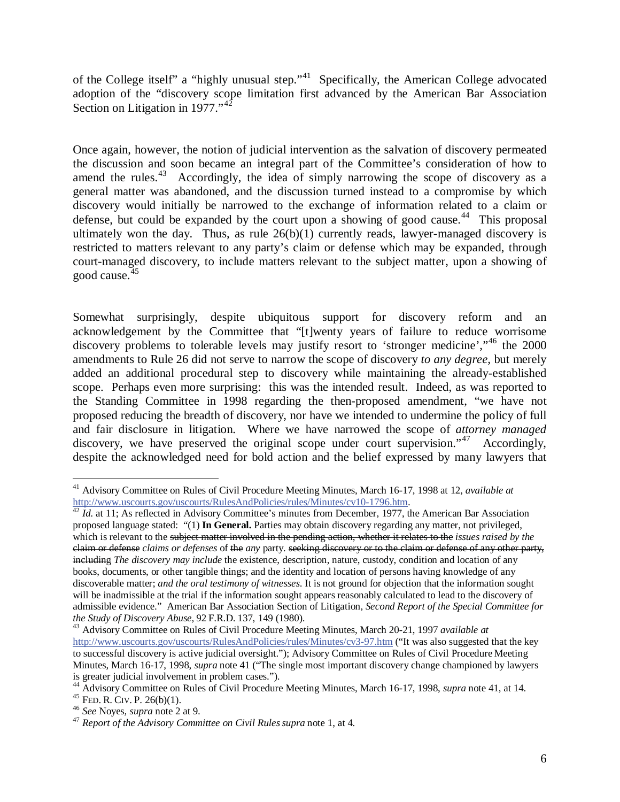of the College itself" a "highly unusual step."<sup>41</sup> Specifically, the American College advocated adoption of the "discovery scope limitation first advanced by the American Bar Association Section on Litigation in 1977."<sup>42</sup>

Once again, however, the notion of judicial intervention as the salvation of discovery permeated the discussion and soon became an integral part of the Committee's consideration of how to amend the rules.<sup>43</sup> Accordingly, the idea of simply narrowing the scope of discovery as a general matter was abandoned, and the discussion turned instead to a compromise by which discovery would initially be narrowed to the exchange of information related to a claim or defense, but could be expanded by the court upon a showing of good cause.<sup>44</sup> This proposal ultimately won the day. Thus, as rule  $26(b)(1)$  currently reads, lawyer-managed discovery is restricted to matters relevant to any party's claim or defense which may be expanded, through court-managed discovery, to include matters relevant to the subject matter, upon a showing of good cause.45

Somewhat surprisingly, despite ubiquitous support for discovery reform and an acknowledgement by the Committee that "[t]wenty years of failure to reduce worrisome discovery problems to tolerable levels may justify resort to 'stronger medicine',"<sup>46</sup> the 2000 amendments to Rule 26 did not serve to narrow the scope of discovery *to any degree,* but merely added an additional procedural step to discovery while maintaining the already-established scope. Perhaps even more surprising: this was the intended result. Indeed, as was reported to the Standing Committee in 1998 regarding the then-proposed amendment, "we have not proposed reducing the breadth of discovery, nor have we intended to undermine the policy of full and fair disclosure in litigation. Where we have narrowed the scope of *attorney managed* discovery, we have preserved the original scope under court supervision."<sup>47</sup> Accordingly, despite the acknowledged need for bold action and the belief expressed by many lawyers that

<sup>&</sup>lt;sup>41</sup> Advisory Committee on Rules of Civil Procedure Meeting Minutes, March 16-17, 1998 at 12, *available at* http://www.uscourts.gov/uscourts/RulesAndPolicies/rules/Minutes/cv10-1796.htm.

 $\frac{42 \hat{I} d.$  at 11; As reflected in Advisory Committee's minutes from December, 1977, the American Bar Association proposed language stated: "(1) **In General.** Parties may obtain discovery regarding any matter, not privileged, which is relevant to the subject matter involved in the pending action, whether it relates to the *issues raised by the* claim or defense *claims or defenses* of the *any* party. seeking discovery or to the claim or defense of any other party, including *The discovery may include* the existence, description, nature, custody, condition and location of any books, documents, or other tangible things; and the identity and location of persons having knowledge of any discoverable matter; *and the oral testimony of witnesses*. It is not ground for objection that the information sought will be inadmissible at the trial if the information sought appears reasonably calculated to lead to the discovery of admissible evidence." American Bar Association Section of Litigation, *Second Report of the Special Committee for the Study of Discovery Abuse,* <sup>92</sup> F.R.D. 137, 149 (1980). 43 Advisory Committee on Rules of Civil Procedure Meeting Minutes, March 20-21, 1997 *available at*

http://www.uscourts.gov/uscourts/RulesAndPolicies/rules/Minutes/cv3-97.htm ("It was also suggested that the key to successful discovery is active judicial oversight."); Advisory Committee on Rules of Civil Procedure Meeting Minutes, March 16-17, 1998, *supra* note 41 ("The single most important discovery change championed by lawyers is greater judicial involvement in problem cases.").

<sup>&</sup>lt;sup>44</sup> Advisory Committee on Rules of Civil Procedure Meeting Minutes, March 16-17, 1998, *supra* note 41, at 14.<br><sup>45</sup> FED. R. CIV. P. 26(b)(1).<br><sup>46</sup> See Noyes, *supra* note 2 at 9.<br><sup>47</sup> Report of the Advisory Committee on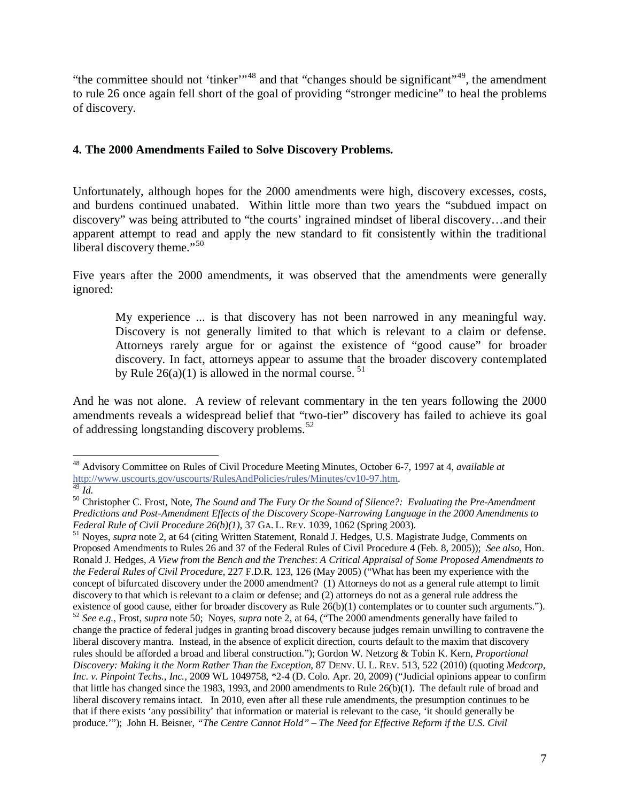"the committee should not 'tinker'<sup>"48</sup> and that "changes should be significant"<sup>49</sup>, the amendment to rule 26 once again fell short of the goal of providing "stronger medicine" to heal the problems of discovery.

## **4. The 2000 Amendments Failed to Solve Discovery Problems.**

Unfortunately, although hopes for the 2000 amendments were high, discovery excesses, costs, and burdens continued unabated. Within little more than two years the "subdued impact on discovery" was being attributed to "the courts' ingrained mindset of liberal discovery…and their apparent attempt to read and apply the new standard to fit consistently within the traditional liberal discovery theme."<sup>50</sup>

Five years after the 2000 amendments, it was observed that the amendments were generally ignored:

My experience ... is that discovery has not been narrowed in any meaningful way. Discovery is not generally limited to that which is relevant to a claim or defense. Attorneys rarely argue for or against the existence of "good cause" for broader discovery. In fact, attorneys appear to assume that the broader discovery contemplated by Rule  $26(a)(1)$  is allowed in the normal course. <sup>51</sup>

And he was not alone. A review of relevant commentary in the ten years following the 2000 amendments reveals a widespread belief that "two-tier" discovery has failed to achieve its goal of addressing longstanding discovery problems.<sup>52</sup>

 $\overline{a}$ 48 Advisory Committee on Rules of Civil Procedure Meeting Minutes, October 6-7, 1997 at 4, *available at* http://www.uscourts.gov/uscourts/RulesAndPolicies/rules/Minutes/cv10-97.htm. 49 *Id.*

<sup>50</sup> Christopher C. Frost, Note, *The Sound and The Fury Or the Sound of Silence?: Evaluating the Pre-Amendment Predictions and Post-Amendment Effects of the Discovery Scope-Narrowing Language in the 2000 Amendments to Federal Rule of Civil Procedure 26(b)(1),* 37 GA. L. REV. 1039, 1062 (Spring 2003).<br><sup>51</sup> Noyes, *supra* note 2, at 64 (citing Written Statement, Ronald J. Hedges, U.S. Magistrate Judge, Comments on

Proposed Amendments to Rules 26 and 37 of the Federal Rules of Civil Procedure 4 (Feb. 8, 2005)); *See also*, Hon. Ronald J. Hedges, *A View from the Bench and the Trenches*: *A Critical Appraisal of Some Proposed Amendments to the Federal Rules of Civil Procedure,* 227 F.D.R. 123, 126 (May 2005) ("What has been my experience with the concept of bifurcated discovery under the 2000 amendment? (1) Attorneys do not as a general rule attempt to limit discovery to that which is relevant to a claim or defense; and (2) attorneys do not as a general rule address the existence of good cause, either for broader discovery as Rule 26(b)(1) contemplates or to counter such arguments."). <sup>52</sup> *See e.g.,* Frost, *supra* note 50; Noyes, *supra* note 2, at 64, ("The 2000 amendments generally have failed to change the practice of federal judges in granting broad discovery because judges remain unwilling to contravene the liberal discovery mantra. Instead, in the absence of explicit direction, courts default to the maxim that discovery rules should be afforded a broad and liberal construction."); Gordon W. Netzorg & Tobin K. Kern, *Proportional Discovery: Making it the Norm Rather Than the Exception,* 87 DENV. U. L. REV. 513, 522 (2010) (quoting *Medcorp, Inc. v. Pinpoint Techs., Inc.,* 2009 WL 1049758, \*2-4 (D. Colo. Apr. 20, 2009) ("Judicial opinions appear to confirm that little has changed since the 1983, 1993, and 2000 amendments to Rule 26(b)(1). The default rule of broad and liberal discovery remains intact. In 2010, even after all these rule amendments, the presumption continues to be that if there exists 'any possibility' that information or material is relevant to the case, 'it should generally be produce.'"); John H. Beisner, *"The Centre Cannot Hold" – The Need for Effective Reform if the U.S. Civil*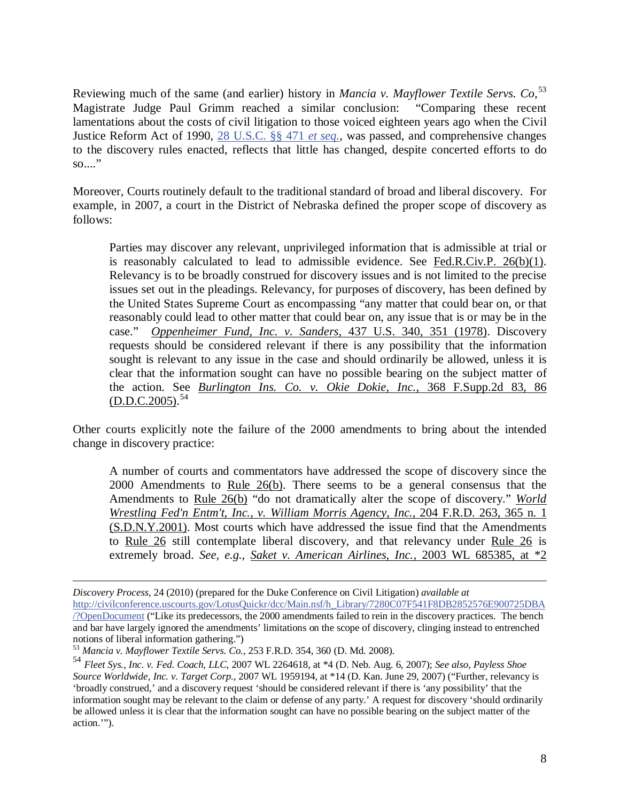Reviewing much of the same (and earlier) history in *Mancia v. Mayflower Textile Servs. Co,*<sup>53</sup> Justice Reform Act of 1990, 28 U.S.C. §§ 471 *et seq.*, was passed, and comprehensive changes Magistrate Judge Paul Grimm reached a similar conclusion: "Comparing these recent lamentations about the costs of civil litigation to those voiced eighteen years ago when the Civil to the discovery rules enacted, reflects that little has changed, despite concerted efforts to do  $\overline{\text{so}}$ ..."

Moreover, Courts routinely default to the traditional standard of broad and liberal discovery. For example, in 2007, a court in the District of Nebraska defined the proper scope of discovery as follows:

Parties may discover any relevant, unprivileged information that is admissible at trial or is reasonably calculated to lead to admissible evidence. See Fed.R.Civ.P. 26(b)(1). Relevancy is to be broadly construed for discovery issues and is not limited to the precise issues set out in the pleadings. Relevancy, for purposes of discovery, has been defined by the United States Supreme Court as encompassing "any matter that could bear on, or that reasonably could lead to other matter that could bear on, any issue that is or may be in the case." *Oppenheimer Fund, Inc. v. Sanders,* 437 U.S. 340, 351 (1978). Discovery requests should be considered relevant if there is any possibility that the information sought is relevant to any issue in the case and should ordinarily be allowed, unless it is clear that the information sought can have no possible bearing on the subject matter of the action. See *Burlington Ins. Co. v. Okie Dokie, Inc.,* 368 F.Supp.2d 83, 86  $(D.D.C. 2005).$ <sup>54</sup>

Other courts explicitly note the failure of the 2000 amendments to bring about the intended change in discovery practice:

A number of courts and commentators have addressed the scope of discovery since the 2000 Amendments to Rule 26(b). There seems to be a general consensus that the Amendments to Rule 26(b) "do not dramatically alter the scope of discovery." *World Wrestling Fed'n Entm't, Inc., v. William Morris Agency, Inc.,* 204 F.R.D. 263, 365 n. 1 (S.D.N.Y.2001). Most courts which have addressed the issue find that the Amendments to Rule 26 still contemplate liberal discovery, and that relevancy under Rule 26 is extremely broad. *See, e.g., Saket v. American Airlines, Inc.,* 2003 WL 685385, at \*2

*Discovery Process*, 24 (2010) (prepared for the Duke Conference on Civil Litigation) *available at* http://civilconference.uscourts.gov/LotusQuickr/dcc/Main.nsf/h\_Library/7280C07F541F8DB2852576E900725DBA /?OpenDocument ("Like its predecessors, the 2000 amendments failed to rein in the discovery practices. The bench and bar have largely ignored the amendments' limitations on the scope of discovery, clinging instead to entrenched notions of liberal information gathering.")

<sup>53</sup> *Mancia v. Mayflower Textile Servs. Co.,* 253 F.R.D. 354, 360 (D. Md. 2008).

<sup>54</sup> *Fleet Sys., Inc. v. Fed. Coach, LLC,* 2007 WL 2264618, at \*4 (D. Neb. Aug. 6, 2007); *See also, Payless Shoe Source Worldwide, Inc. v. Target Corp.,* 2007 WL 1959194, at \*14 (D. Kan. June 29, 2007) ("Further, relevancy is 'broadly construed,' and a discovery request 'should be considered relevant if there is 'any possibility' that the information sought may be relevant to the claim or defense of any party.' A request for discovery 'should ordinarily be allowed unless it is clear that the information sought can have no possible bearing on the subject matter of the action.'").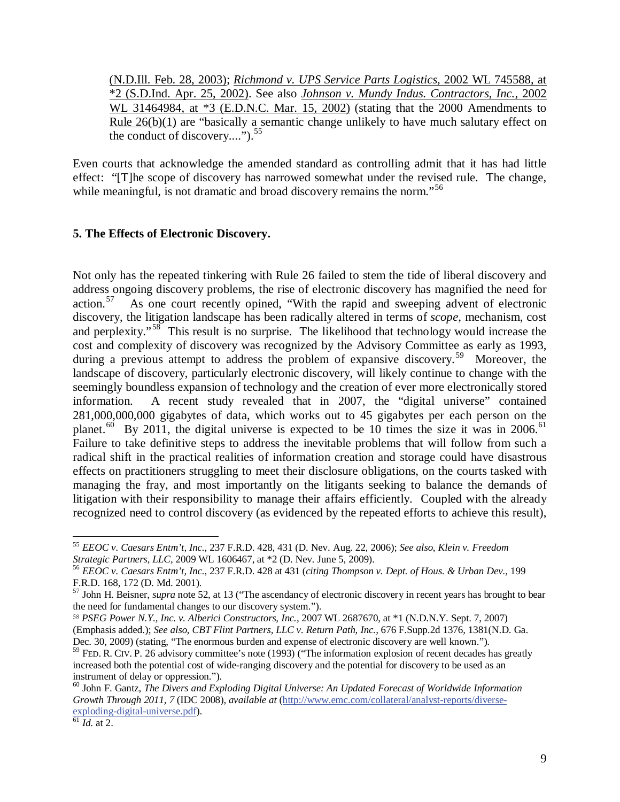(N.D.Ill. Feb. 28, 2003); *Richmond v. UPS Service Parts Logistics,* 2002 WL 745588, at \*2 (S.D.Ind. Apr. 25, 2002). See also *Johnson v. Mundy Indus. Contractors, Inc.,* 2002 WL 31464984, at \*3 (E.D.N.C. Mar. 15, 2002) (stating that the 2000 Amendments to Rule 26(b)(1) are "basically a semantic change unlikely to have much salutary effect on the conduct of discovery...." $\frac{55}{5}$ 

Even courts that acknowledge the amended standard as controlling admit that it has had little effect: "[T]he scope of discovery has narrowed somewhat under the revised rule. The change, while meaningful, is not dramatic and broad discovery remains the norm."<sup>56</sup>

#### **5. The Effects of Electronic Discovery.**

Not only has the repeated tinkering with Rule 26 failed to stem the tide of liberal discovery and address ongoing discovery problems, the rise of electronic discovery has magnified the need for action.57 As one court recently opined, "With the rapid and sweeping advent of electronic discovery, the litigation landscape has been radically altered in terms of *scope*, mechanism, cost and perplexity."<sup>58</sup> This result is no surprise. The likelihood that technology would increase the cost and complexity of discovery was recognized by the Advisory Committee as early as 1993, during a previous attempt to address the problem of expansive discovery.<sup>59</sup> Moreover, the landscape of discovery, particularly electronic discovery, will likely continue to change with the seemingly boundless expansion of technology and the creation of ever more electronically stored information. A recent study revealed that in 2007, the "digital universe" contained 281,000,000,000 gigabytes of data, which works out to 45 gigabytes per each person on the planet.<sup>60</sup> By 2011, the digital universe is expected to be 10 times the size it was in 2006.<sup>61</sup> Failure to take definitive steps to address the inevitable problems that will follow from such a radical shift in the practical realities of information creation and storage could have disastrous effects on practitioners struggling to meet their disclosure obligations, on the courts tasked with managing the fray, and most importantly on the litigants seeking to balance the demands of litigation with their responsibility to manage their affairs efficiently. Coupled with the already recognized need to control discovery (as evidenced by the repeated efforts to achieve this result),

<sup>55</sup> *EEOC v. Caesars Entm't, Inc.,* 237 F.R.D. 428, 431 (D. Nev. Aug. 22, 2006); *See also*, *Klein v. Freedom Strategic Partners, LLC,* 2009 WL 1606467, at \*2 (D. Nev. June 5, 2009).

<sup>56</sup> *EEOC v. Caesars Entm't, Inc.,* 237 F.R.D. 428 at 431 (*citing Thompson v. Dept. of Hous. & Urban Dev.,* 199 F.R.D. 168, 172 (D. Md. 2001).

<sup>57</sup> John H. Beisner, *supra* note 52, at 13 ("The ascendancy of electronic discovery in recent years has brought to bear the need for fundamental changes to our discovery system.").

<sup>-</sup> *PSEG Power N.Y., Inc. v. Alberici Constructors, Inc.,* 2007 WL 2687670, at \*1 (N.D.N.Y. Sept. 7, 2007) (Emphasis added.); *See also*, *CBT Flint Partners, LLC v. Return Path, Inc.,* 676 F.Supp.2d 1376, 1381(N.D. Ga. Dec. 30, 2009) (stating, "The enormous burden and expense of electronic discovery are well known.").

 $59$  FED. R. CIV. P. 26 advisory committee's note (1993) ("The information explosion of recent decades has greatly increased both the potential cost of wide-ranging discovery and the potential for discovery to be used as an instrument of delay or oppression.").

<sup>60</sup> John F. Gantz, *The Divers and Exploding Digital Universe: An Updated Forecast of Worldwide Information Growth Through 2011, 7* (IDC 2008), *available at* (http://www.emc.com/collateral/analyst-reports/diverseexploding-digital-universe.pdf). 61 *Id.* at 2.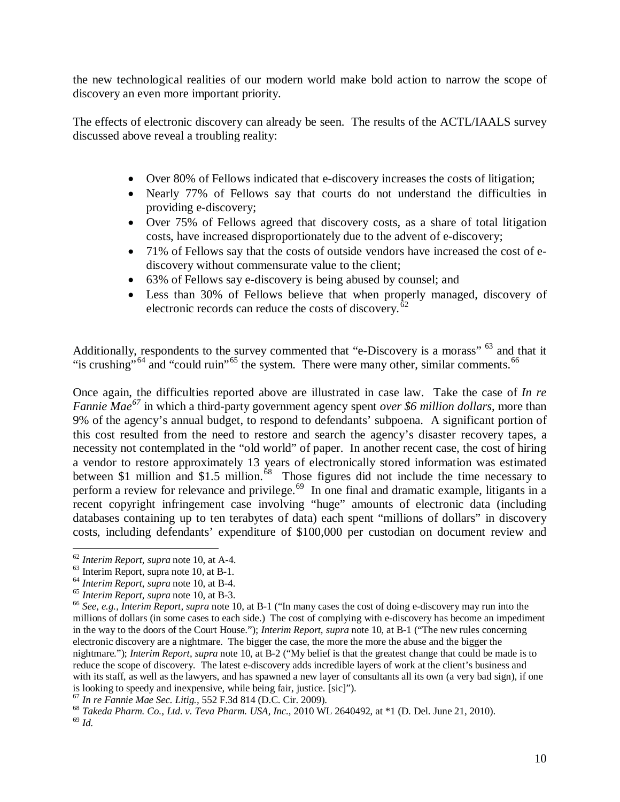the new technological realities of our modern world make bold action to narrow the scope of discovery an even more important priority.

The effects of electronic discovery can already be seen. The results of the ACTL/IAALS survey discussed above reveal a troubling reality:

- Over 80% of Fellows indicated that e-discovery increases the costs of litigation;
- Nearly 77% of Fellows say that courts do not understand the difficulties in providing e-discovery;
- Over 75% of Fellows agreed that discovery costs, as a share of total litigation costs, have increased disproportionately due to the advent of e-discovery;
- 71% of Fellows say that the costs of outside vendors have increased the cost of ediscovery without commensurate value to the client;
- 63% of Fellows say e-discovery is being abused by counsel; and
- Less than 30% of Fellows believe that when properly managed, discovery of electronic records can reduce the costs of discovery.<sup>62</sup>

Additionally, respondents to the survey commented that "e-Discovery is a morass" <sup>63</sup> and that it "is crushing"<sup>64</sup> and "could ruin"<sup>65</sup> the system. There were many other, similar comments.<sup>66</sup>

Once again, the difficulties reported above are illustrated in case law. Take the case of *In re Fannie Mae<sup>67</sup>* in which a third-party government agency spent *over \$6 million dollars*, more than 9% of the agency's annual budget, to respond to defendants' subpoena. A significant portion of this cost resulted from the need to restore and search the agency's disaster recovery tapes, a necessity not contemplated in the "old world" of paper. In another recent case, the cost of hiring a vendor to restore approximately 13 years of electronically stored information was estimated between \$1 million and \$1.5 million.<sup>68</sup> Those figures did not include the time necessary to perform a review for relevance and privilege.<sup>69</sup> In one final and dramatic example, litigants in a recent copyright infringement case involving "huge" amounts of electronic data (including databases containing up to ten terabytes of data) each spent "millions of dollars" in discovery costs, including defendants' expenditure of \$100,000 per custodian on document review and

<sup>62</sup> *Interim Report*, *supra* note 10, at A-4.

 $^{63}$  Interim Report, supra note 10, at B-1.<br> $^{64}$  Interim Report, supra note 10, at B-4.

<sup>&</sup>lt;sup>65</sup> Interim Report, supra note 10, at B-3.<br><sup>66</sup> See, e.g., Interim Report, supra note 10, at B-1 ("In many cases the cost of doing e-discovery may run into the millions of dollars (in some cases to each side.) The cost of complying with e-discovery has become an impediment in the way to the doors of the Court House."); *Interim Report, supra* note 10, at B-1 ("The new rules concerning electronic discovery are a nightmare. The bigger the case, the more the more the abuse and the bigger the nightmare."); *Interim Report*, *supra* note 10, at B-2 ("My belief is that the greatest change that could be made is to reduce the scope of discovery. The latest e-discovery adds incredible layers of work at the client's business and with its staff, as well as the lawyers, and has spawned a new layer of consultants all its own (a very bad sign), if one is looking to speedy and inexpensive, while being fair, justice. [sic]").<br> $^{67}$  In re Fannie Mae Sec. Litig., 552 F.3d 814 (D.C. Cir. 2009).

<sup>&</sup>lt;sup>68</sup> *Takeda Pharm. Co., Ltd. v. Teva Pharm. USA, Inc.,* 2010 WL 2640492, at \*1 (D. Del. June 21, 2010). <sup>69</sup> *Id*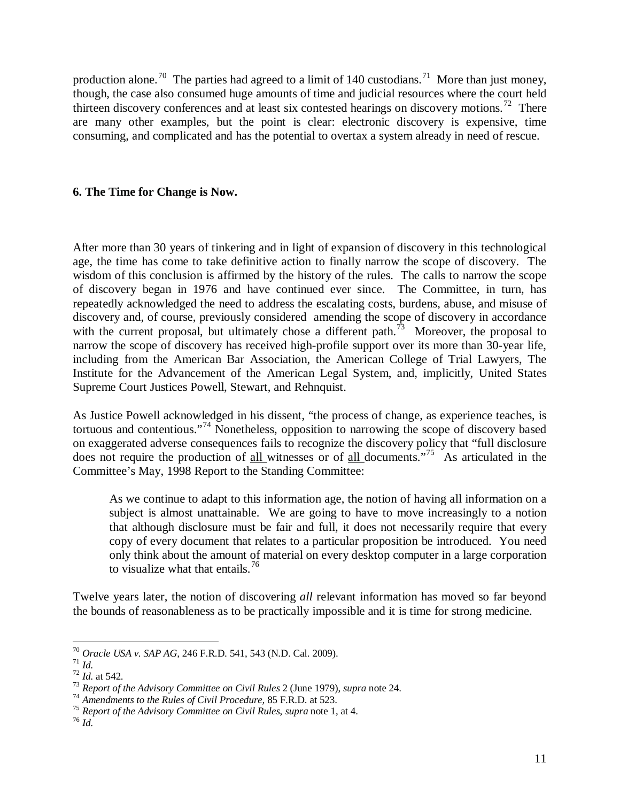production alone.<sup>70</sup> The parties had agreed to a limit of 140 custodians.<sup>71</sup> More than just money, though, the case also consumed huge amounts of time and judicial resources where the court held thirteen discovery conferences and at least six contested hearings on discovery motions.<sup>72</sup> There are many other examples, but the point is clear: electronic discovery is expensive, time consuming, and complicated and has the potential to overtax a system already in need of rescue.

#### **6. The Time for Change is Now.**

After more than 30 years of tinkering and in light of expansion of discovery in this technological age, the time has come to take definitive action to finally narrow the scope of discovery. The wisdom of this conclusion is affirmed by the history of the rules. The calls to narrow the scope of discovery began in 1976 and have continued ever since. The Committee, in turn, has repeatedly acknowledged the need to address the escalating costs, burdens, abuse, and misuse of discovery and, of course, previously considered amending the scope of discovery in accordance with the current proposal, but ultimately chose a different path.<sup>73</sup> Moreover, the proposal to narrow the scope of discovery has received high-profile support over its more than 30-year life, including from the American Bar Association, the American College of Trial Lawyers, The Institute for the Advancement of the American Legal System, and, implicitly, United States Supreme Court Justices Powell, Stewart, and Rehnquist.

As Justice Powell acknowledged in his dissent, "the process of change, as experience teaches, is tortuous and contentious."74 Nonetheless, opposition to narrowing the scope of discovery based on exaggerated adverse consequences fails to recognize the discovery policy that "full disclosure does not require the production of all witnesses or of all documents."75 As articulated in the Committee's May, 1998 Report to the Standing Committee:

As we continue to adapt to this information age, the notion of having all information on a subject is almost unattainable. We are going to have to move increasingly to a notion that although disclosure must be fair and full, it does not necessarily require that every copy of every document that relates to a particular proposition be introduced. You need only think about the amount of material on every desktop computer in a large corporation to visualize what that entails.<sup>76</sup>

Twelve years later, the notion of discovering *all* relevant information has moved so far beyond the bounds of reasonableness as to be practically impossible and it is time for strong medicine.

 $\overline{a}$ 

<sup>&</sup>lt;sup>70</sup> Oracle USA v. SAP AG, 246 F.R.D. 541, 543 (N.D. Cal. 2009).<br><sup>71</sup> Id.<br><sup>72</sup> Id. at 542.<br><sup>73</sup> Report of the Advisory Committee on Civil Rules 2 (June 1979), supra note 24.<br><sup>74</sup> Amendments to the Rules of Civil Procedure